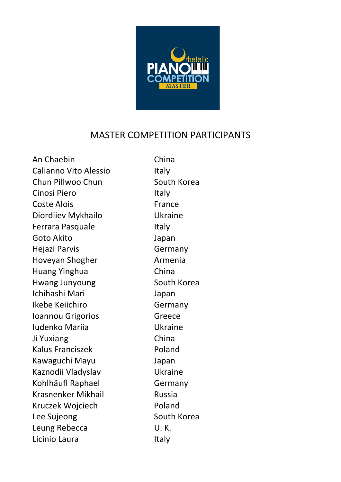

## MASTER COMPETITION PARTICIPANTS

An Chaebin China Calianno Vito Alessio **Italy** Chun Pillwoo Chun South Korea Cinosi Piero **Italy** Coste Alois **France** Diordiiev Mykhailo **Ukraine** Ferrara Pasquale **Italy** Goto Akito Japan Hejazi Parvis **Germany** Hoveyan Shogher **Armenia** Huang Yinghua China Hwang Junyoung South Korea Ichihashi Mari Japan Ikebe Keiichiro Germany **Ioannou Grigorios** Greece Iudenko Mariia Ukraine Ji Yuxiang China Kalus Franciszek Poland Kawaguchi Mayu Japan Kaznodii Vladyslav **Ukraine** Kohlhäufl Raphael Germany Krasnenker Mikhail **Russia** Kruczek Wojciech Poland Lee Sujeong South Korea Leung Rebecca **U.K.** Licinio Laura **Italy**